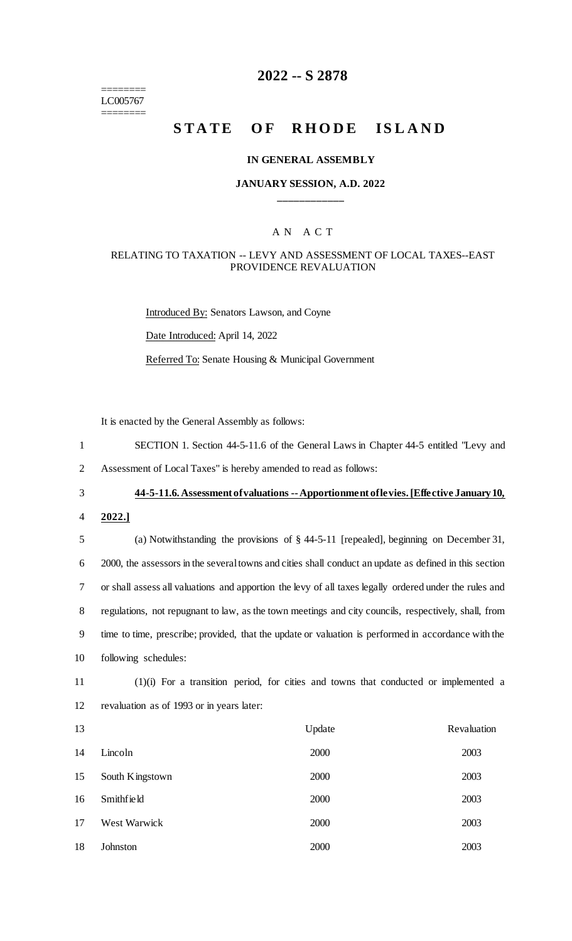======== LC005767 ========

# **2022 -- S 2878**

# **STATE OF RHODE ISLAND**

#### **IN GENERAL ASSEMBLY**

### **JANUARY SESSION, A.D. 2022 \_\_\_\_\_\_\_\_\_\_\_\_**

### A N A C T

### RELATING TO TAXATION -- LEVY AND ASSESSMENT OF LOCAL TAXES--EAST PROVIDENCE REVALUATION

Introduced By: Senators Lawson, and Coyne Date Introduced: April 14, 2022 Referred To: Senate Housing & Municipal Government

It is enacted by the General Assembly as follows:

- 1 SECTION 1. Section 44-5-11.6 of the General Laws in Chapter 44-5 entitled "Levy and
- 2 Assessment of Local Taxes" is hereby amended to read as follows:

# 3 **44-5-11.6. Assessment of valuations --Apportionment of levies. [Effective January 10,**

4 **2022.]**

 (a) Notwithstanding the provisions of § 44-5-11 [repealed], beginning on December 31, 2000, the assessors in the several towns and cities shall conduct an update as defined in this section or shall assess all valuations and apportion the levy of all taxes legally ordered under the rules and regulations, not repugnant to law, as the town meetings and city councils, respectively, shall, from time to time, prescribe; provided, that the update or valuation is performed in accordance with the following schedules:

11 (1)(i) For a transition period, for cities and towns that conducted or implemented a 12 revaluation as of 1993 or in years later:

| 13 |                 | Update | Revaluation |
|----|-----------------|--------|-------------|
| 14 | Lincoln         | 2000   | 2003        |
| 15 | South Kingstown | 2000   | 2003        |
| 16 | Smithfield      | 2000   | 2003        |
| 17 | West Warwick    | 2000   | 2003        |
| 18 | Johnston        | 2000   | 2003        |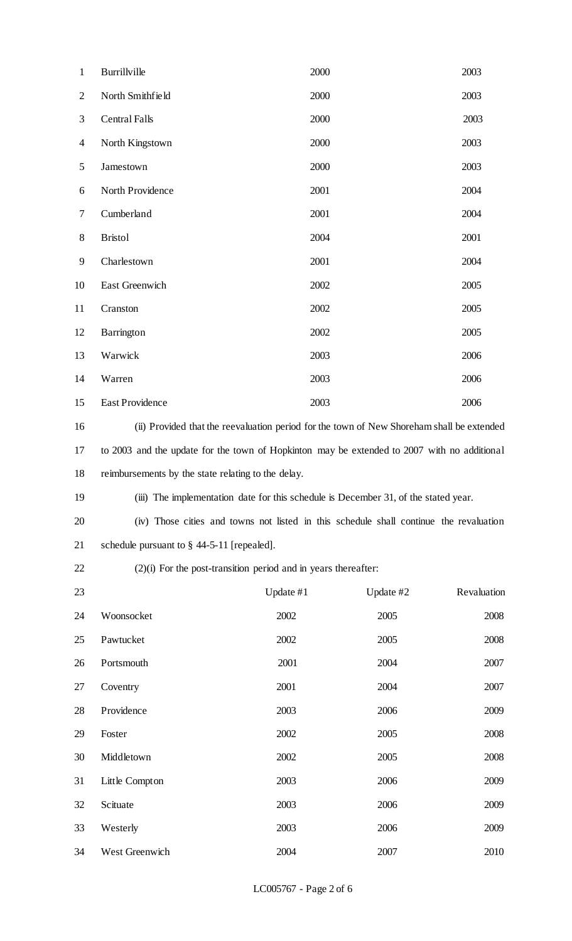| $\mathbf{1}$   | Burrillville                                                                                | 2000      |           | 2003        |  |
|----------------|---------------------------------------------------------------------------------------------|-----------|-----------|-------------|--|
| $\mathbf{2}$   | North Smithfield                                                                            | 2000      |           | 2003        |  |
| 3              | <b>Central Falls</b>                                                                        | 2000      |           | 2003        |  |
| $\overline{4}$ | North Kingstown                                                                             | 2000      |           | 2003        |  |
| 5              | Jamestown                                                                                   | 2000      |           | 2003        |  |
| 6              | North Providence                                                                            | 2001      |           | 2004        |  |
| $\tau$         | Cumberland                                                                                  | 2001      |           | 2004        |  |
| $8\,$          | <b>Bristol</b>                                                                              | 2004      |           | 2001        |  |
| 9              | Charlestown                                                                                 | 2001      |           | 2004        |  |
| 10             | East Greenwich                                                                              | 2002      |           | 2005        |  |
| 11             | Cranston                                                                                    | 2002      |           | 2005        |  |
| 12             | Barrington                                                                                  | 2002      |           | 2005        |  |
| 13             | Warwick                                                                                     | 2003      |           | 2006        |  |
| 14             | Warren                                                                                      | 2003      |           | 2006        |  |
| 15             | East Providence                                                                             | 2003      |           | 2006        |  |
| 16             | (ii) Provided that the reevaluation period for the town of New Shoreham shall be extended   |           |           |             |  |
| 17             | to 2003 and the update for the town of Hopkinton may be extended to 2007 with no additional |           |           |             |  |
| 18             | reimbursements by the state relating to the delay.                                          |           |           |             |  |
| 19             | (iii) The implementation date for this schedule is December 31, of the stated year.         |           |           |             |  |
| 20             | (iv) Those cities and towns not listed in this schedule shall continue the revaluation      |           |           |             |  |
| 21             | schedule pursuant to $\S$ 44-5-11 [repealed].                                               |           |           |             |  |
| 22             | $(2)(i)$ For the post-transition period and in years thereafter:                            |           |           |             |  |
| 23             |                                                                                             | Update #1 | Update #2 | Revaluation |  |
| 24             | Woonsocket                                                                                  | 2002      | 2005      | 2008        |  |
| 25             | Pawtucket                                                                                   | 2002      | 2005      | 2008        |  |
| 26             | Portsmouth                                                                                  | 2001      | 2004      | 2007        |  |
| 27             | Coventry                                                                                    | 2001      | 2004      | 2007        |  |
| 28             | Providence                                                                                  | 2003      | 2006      | 2009        |  |
| 29             | Foster                                                                                      | 2002      | 2005      | 2008        |  |
| 30             | Middletown                                                                                  | 2002      | 2005      | 2008        |  |
| 31             | Little Compton                                                                              | 2003      | 2006      | 2009        |  |
| 32             | Scituate                                                                                    | 2003      | 2006      | 2009        |  |
| 33             | Westerly                                                                                    | 2003      | 2006      | 2009        |  |
| 34             | West Greenwich                                                                              | 2004      | 2007      | 2010        |  |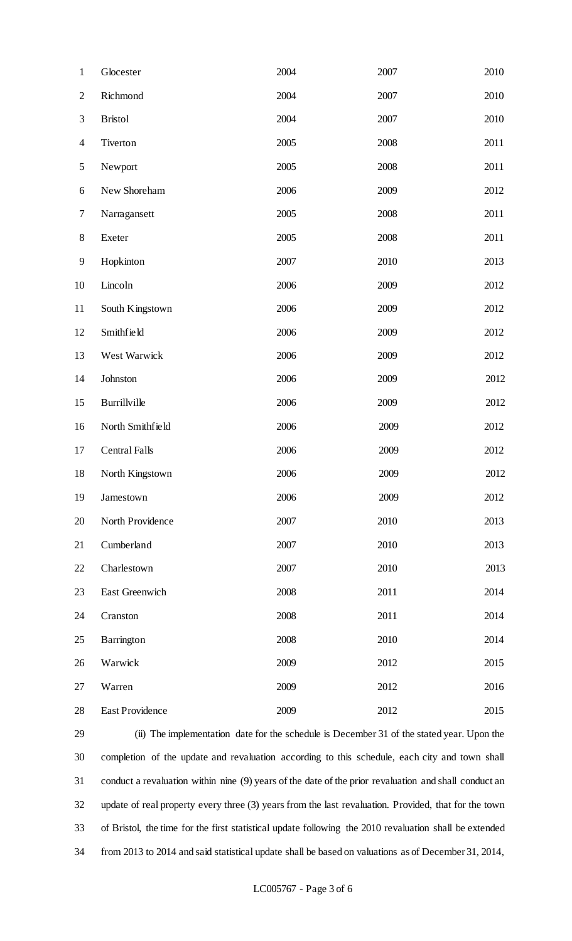| $\mathbf{1}$             | Glocester              | 2004 | 2007 | 2010 |
|--------------------------|------------------------|------|------|------|
| $\mathbf{2}$             | Richmond               | 2004 | 2007 | 2010 |
| 3                        | <b>Bristol</b>         | 2004 | 2007 | 2010 |
| $\overline{\mathcal{A}}$ | Tiverton               | 2005 | 2008 | 2011 |
| 5                        | Newport                | 2005 | 2008 | 2011 |
| 6                        | New Shoreham           | 2006 | 2009 | 2012 |
| 7                        | Narragansett           | 2005 | 2008 | 2011 |
| $8\,$                    | Exeter                 | 2005 | 2008 | 2011 |
| 9                        | Hopkinton              | 2007 | 2010 | 2013 |
| 10                       | Lincoln                | 2006 | 2009 | 2012 |
| 11                       | South Kingstown        | 2006 | 2009 | 2012 |
| 12                       | Smithfield             | 2006 | 2009 | 2012 |
| 13                       | West Warwick           | 2006 | 2009 | 2012 |
| 14                       | Johnston               | 2006 | 2009 | 2012 |
| 15                       | Burrillville           | 2006 | 2009 | 2012 |
| 16                       | North Smithfield       | 2006 | 2009 | 2012 |
| 17                       | <b>Central Falls</b>   | 2006 | 2009 | 2012 |
| 18                       | North Kingstown        | 2006 | 2009 | 2012 |
| 19                       | Jamestown              | 2006 | 2009 | 2012 |
| 20                       | North Providence       | 2007 | 2010 | 2013 |
| 21                       | Cumberland             | 2007 | 2010 | 2013 |
| 22                       | Charlestown            | 2007 | 2010 | 2013 |
| 23                       | East Greenwich         | 2008 | 2011 | 2014 |
| 24                       | Cranston               | 2008 | 2011 | 2014 |
| 25                       | Barrington             | 2008 | 2010 | 2014 |
| 26                       | Warwick                | 2009 | 2012 | 2015 |
| 27                       | Warren                 | 2009 | 2012 | 2016 |
| 28                       | <b>East Providence</b> | 2009 | 2012 | 2015 |

 (ii) The implementation date for the schedule is December 31 of the stated year. Upon the completion of the update and revaluation according to this schedule, each city and town shall conduct a revaluation within nine (9) years of the date of the prior revaluation and shall conduct an update of real property every three (3) years from the last revaluation. Provided, that for the town of Bristol, the time for the first statistical update following the 2010 revaluation shall be extended from 2013 to 2014 and said statistical update shall be based on valuations as of December 31, 2014,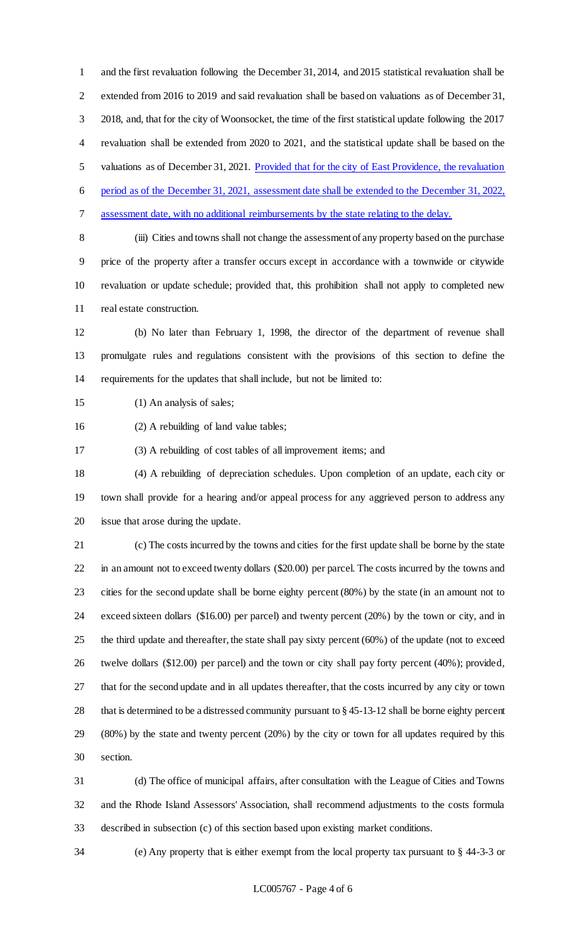and the first revaluation following the December 31, 2014, and 2015 statistical revaluation shall be extended from 2016 to 2019 and said revaluation shall be based on valuations as of December 31, 2018, and, that for the city of Woonsocket, the time of the first statistical update following the 2017 revaluation shall be extended from 2020 to 2021, and the statistical update shall be based on the valuations as of December 31, 2021. Provided that for the city of East Providence, the revaluation period as of the December 31, 2021, assessment date shall be extended to the December 31, 2022, assessment date, with no additional reimbursements by the state relating to the delay. (iii) Cities and towns shall not change the assessment of any property based on the purchase price of the property after a transfer occurs except in accordance with a townwide or citywide

 revaluation or update schedule; provided that, this prohibition shall not apply to completed new real estate construction.

 (b) No later than February 1, 1998, the director of the department of revenue shall promulgate rules and regulations consistent with the provisions of this section to define the requirements for the updates that shall include, but not be limited to:

(1) An analysis of sales;

(2) A rebuilding of land value tables;

(3) A rebuilding of cost tables of all improvement items; and

 (4) A rebuilding of depreciation schedules. Upon completion of an update, each city or town shall provide for a hearing and/or appeal process for any aggrieved person to address any issue that arose during the update.

 (c) The costs incurred by the towns and cities for the first update shall be borne by the state in an amount not to exceed twenty dollars (\$20.00) per parcel. The costs incurred by the towns and cities for the second update shall be borne eighty percent (80%) by the state (in an amount not to exceed sixteen dollars (\$16.00) per parcel) and twenty percent (20%) by the town or city, and in the third update and thereafter, the state shall pay sixty percent (60%) of the update (not to exceed twelve dollars (\$12.00) per parcel) and the town or city shall pay forty percent (40%); provided, that for the second update and in all updates thereafter, that the costs incurred by any city or town that is determined to be a distressed community pursuant to § 45-13-12 shall be borne eighty percent (80%) by the state and twenty percent (20%) by the city or town for all updates required by this section.

 (d) The office of municipal affairs, after consultation with the League of Cities and Towns and the Rhode Island Assessors' Association, shall recommend adjustments to the costs formula described in subsection (c) of this section based upon existing market conditions.

(e) Any property that is either exempt from the local property tax pursuant to § 44-3-3 or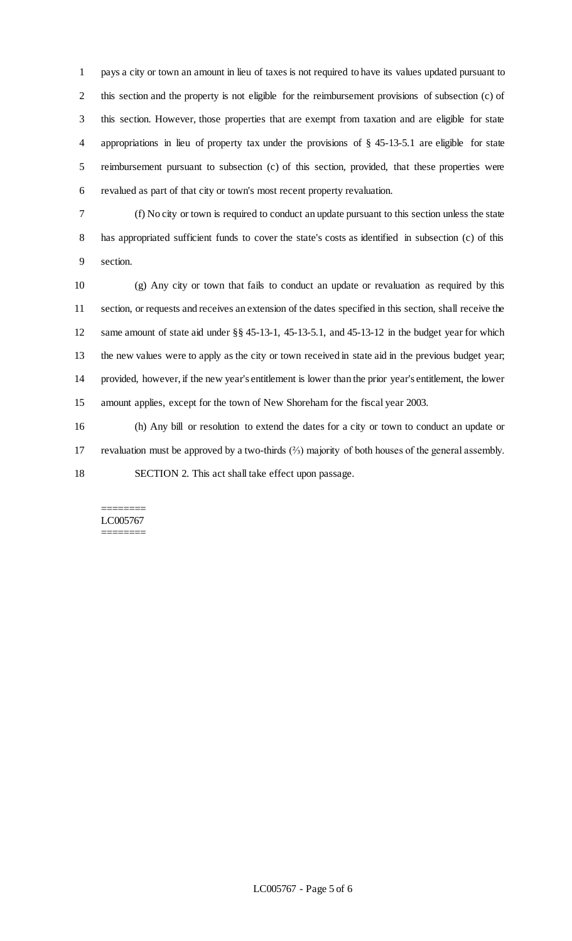pays a city or town an amount in lieu of taxes is not required to have its values updated pursuant to this section and the property is not eligible for the reimbursement provisions of subsection (c) of this section. However, those properties that are exempt from taxation and are eligible for state appropriations in lieu of property tax under the provisions of § 45-13-5.1 are eligible for state reimbursement pursuant to subsection (c) of this section, provided, that these properties were revalued as part of that city or town's most recent property revaluation.

 (f) No city or town is required to conduct an update pursuant to this section unless the state has appropriated sufficient funds to cover the state's costs as identified in subsection (c) of this section.

 (g) Any city or town that fails to conduct an update or revaluation as required by this section, or requests and receives an extension of the dates specified in this section, shall receive the same amount of state aid under §§ 45-13-1, 45-13-5.1, and 45-13-12 in the budget year for which the new values were to apply as the city or town received in state aid in the previous budget year; provided, however, if the new year's entitlement is lower than the prior year's entitlement, the lower amount applies, except for the town of New Shoreham for the fiscal year 2003.

 (h) Any bill or resolution to extend the dates for a city or town to conduct an update or revaluation must be approved by a two-thirds (⅔) majority of both houses of the general assembly. SECTION 2. This act shall take effect upon passage.

#### ======== LC005767 ========